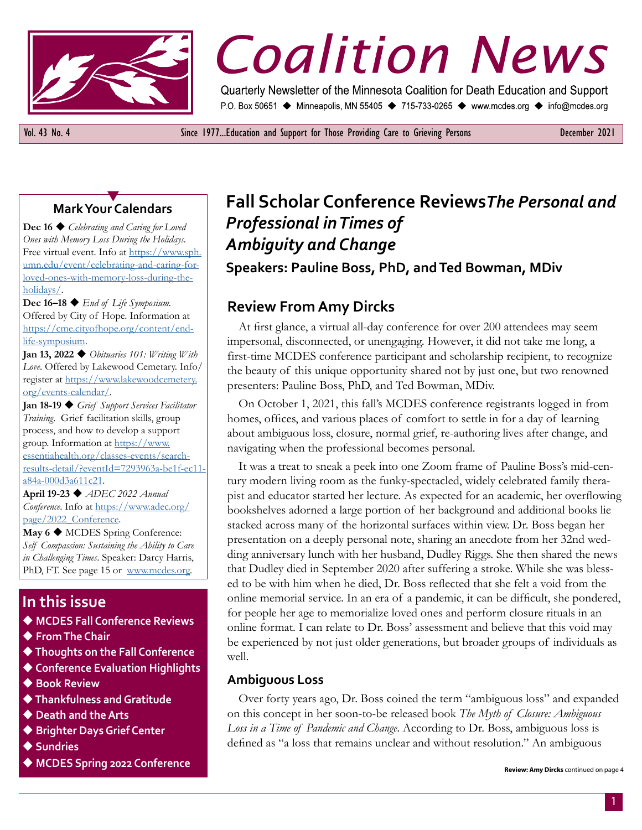

# *Coalition News December 2021*

Quarterly Newsletter of the Minnesota Coalition for Death Education and Support P.O. Box 50651 ♦ Minneapolis, MN 55405 ♦ 715-733-0265 ♦ www.mcdes.org ♦ info@mcdes.org

Vol. 43 No. 4 Since 1977...Education and Support for Those Providing Care to Grieving Persons December 2021

### Y **Mark Your Calendars**

**Dec 16 ♦** *Celebrating and Caring for Loved Ones with Memory Loss During the Holidays.*  Free virtual event. Info at [https://www.sph.](https://www.sph.umn.edu/event/celebrating-and-caring-for-loved-ones-with-memory-loss-during-the-holidays/) [umn.edu/event/celebrating-and-caring-for](https://www.sph.umn.edu/event/celebrating-and-caring-for-loved-ones-with-memory-loss-during-the-holidays/)[loved-ones-with-memory-loss-during-the](https://www.sph.umn.edu/event/celebrating-and-caring-for-loved-ones-with-memory-loss-during-the-holidays/)[holidays/](https://www.sph.umn.edu/event/celebrating-and-caring-for-loved-ones-with-memory-loss-during-the-holidays/).

**Dec 16–18 ♦** *End of Life Symposium.* Offered by City of Hope. Information at [https://cme.cityofhope.org/content/end](https://cme.cityofhope.org/content/end-life-symposium)[life-symposium](https://cme.cityofhope.org/content/end-life-symposium).

**Jan 13, 2022**  $\blacklozenge$  *Obituaries 101: Writing With Love*. Offered by Lakewood Cemetary. Info/ register at [https://www.lakewoodcemetery.](https://www.lakewoodcemetery.org/events-calendar/) [org/events-calendar/.](https://www.lakewoodcemetery.org/events-calendar/)

Jan 18-19 *Grief Support Services Facilitator Training*. Grief facilitation skills, group process, and how to develop a support group. Information at [https://www.](https://www.essentiahealth.org/classes-events/search-results-detail/?eventId=7293963a-be1f-ec11-a84a-000d3a611c21) [essentiahealth.org/classes-events/search](https://www.essentiahealth.org/classes-events/search-results-detail/?eventId=7293963a-be1f-ec11-a84a-000d3a611c21)[results-detail/?eventId=7293963a-be1f-ec11](https://www.essentiahealth.org/classes-events/search-results-detail/?eventId=7293963a-be1f-ec11-a84a-000d3a611c21) [a84a-000d3a611c21.](https://www.essentiahealth.org/classes-events/search-results-detail/?eventId=7293963a-be1f-ec11-a84a-000d3a611c21)

**April 19-23 ♦ ADEC 2022 Annual** *Conference*. Info at [https://www.adec.org/](https://www.adec.org/page/2022_Conference) [page/2022\\_Conference](https://www.adec.org/page/2022_Conference).

**May 6 ♦ MCDES Spring Conference:** *Self Compassion: Sustaining the Ability to Care in Challenging Times*. Speaker: Darcy Harris, PhD, FT. See page 15 or [www.mcdes.org](http://www.mcdes.org).

# **In this issue**

- ◆ MCDES Fall Conference Reviews
- **From The Chair**
- u **Thoughts on the Fall Conference**
- ◆ Conference Evaluation Highlights
- **◆ Book Review**
- u **Thankfulness and Gratitude**
- ◆ Death and the Arts
- ◆ Brighter Days Grief Center
- ◆ Sundries
- ◆ MCDES Spring 2022 Conference

# **Fall Scholar Conference Reviews***The Personal and Professional in Times of Ambiguity and Change*

**Speakers: Pauline Boss, PhD, and Ted Bowman, MDiv**

# **Review From Amy Dircks**

At first glance, a virtual all-day conference for over 200 attendees may seem impersonal, disconnected, or unengaging. However, it did not take me long, a first-time MCDES conference participant and scholarship recipient, to recognize the beauty of this unique opportunity shared not by just one, but two renowned presenters: Pauline Boss, PhD, and Ted Bowman, MDiv.

On October 1, 2021, this fall's MCDES conference registrants logged in from homes, offices, and various places of comfort to settle in for a day of learning about ambiguous loss, closure, normal grief, re-authoring lives after change, and navigating when the professional becomes personal.

It was a treat to sneak a peek into one Zoom frame of Pauline Boss's mid-century modern living room as the funky-spectacled, widely celebrated family therapist and educator started her lecture. As expected for an academic, her overflowing bookshelves adorned a large portion of her background and additional books lie stacked across many of the horizontal surfaces within view. Dr. Boss began her presentation on a deeply personal note, sharing an anecdote from her 32nd wedding anniversary lunch with her husband, Dudley Riggs. She then shared the news that Dudley died in September 2020 after suffering a stroke. While she was blessed to be with him when he died, Dr. Boss reflected that she felt a void from the online memorial service. In an era of a pandemic, it can be difficult, she pondered, for people her age to memorialize loved ones and perform closure rituals in an online format. I can relate to Dr. Boss' assessment and believe that this void may be experienced by not just older generations, but broader groups of individuals as well.

#### **Ambiguous Loss**

Over forty years ago, Dr. Boss coined the term "ambiguous loss" and expanded on this concept in her soon-to-be released book *The Myth of Closure: Ambiguous Loss in a Time of Pandemic and Change*. According to Dr. Boss, ambiguous loss is defined as "a loss that remains unclear and without resolution." An ambiguous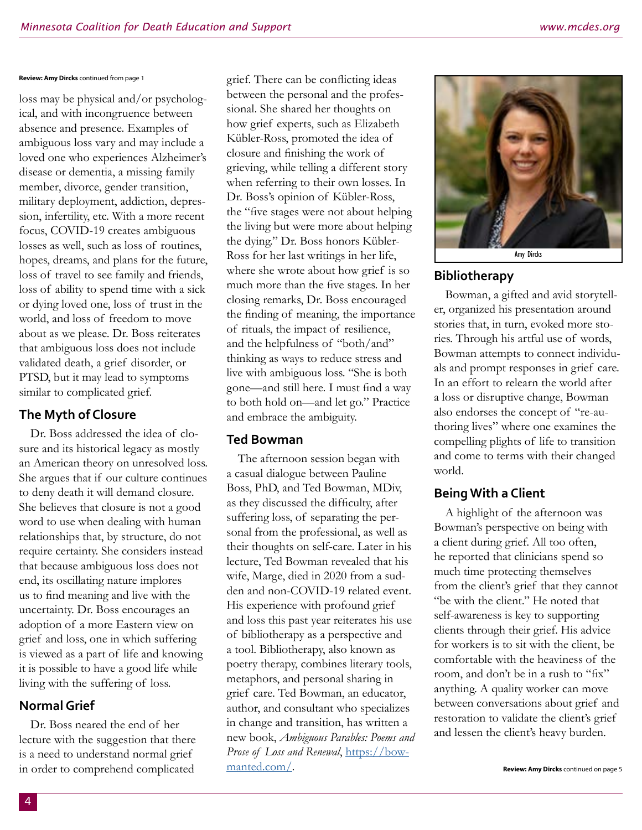#### **Review: Amy Dircks** continued from page 1

loss may be physical and/or psychological, and with incongruence between absence and presence. Examples of ambiguous loss vary and may include a loved one who experiences Alzheimer's disease or dementia, a missing family member, divorce, gender transition, military deployment, addiction, depression, infertility, etc. With a more recent focus, COVID-19 creates ambiguous losses as well, such as loss of routines, hopes, dreams, and plans for the future, loss of travel to see family and friends, loss of ability to spend time with a sick or dying loved one, loss of trust in the world, and loss of freedom to move about as we please. Dr. Boss reiterates that ambiguous loss does not include validated death, a grief disorder, or PTSD, but it may lead to symptoms similar to complicated grief.

## **The Myth of Closure**

Dr. Boss addressed the idea of closure and its historical legacy as mostly an American theory on unresolved loss. She argues that if our culture continues to deny death it will demand closure. She believes that closure is not a good word to use when dealing with human relationships that, by structure, do not require certainty. She considers instead that because ambiguous loss does not end, its oscillating nature implores us to find meaning and live with the uncertainty. Dr. Boss encourages an adoption of a more Eastern view on grief and loss, one in which suffering is viewed as a part of life and knowing it is possible to have a good life while living with the suffering of loss.

#### **Normal Grief**

Dr. Boss neared the end of her lecture with the suggestion that there is a need to understand normal grief in order to comprehend complicated

grief. There can be conflicting ideas between the personal and the professional. She shared her thoughts on how grief experts, such as Elizabeth Kübler-Ross, promoted the idea of closure and finishing the work of grieving, while telling a different story when referring to their own losses. In Dr. Boss's opinion of Kübler-Ross, the "five stages were not about helping the living but were more about helping the dying." Dr. Boss honors Kübler-Ross for her last writings in her life, where she wrote about how grief is so much more than the five stages. In her closing remarks, Dr. Boss encouraged the finding of meaning, the importance of rituals, the impact of resilience, and the helpfulness of "both/and" thinking as ways to reduce stress and live with ambiguous loss. "She is both gone—and still here. I must find a way to both hold on—and let go." Practice and embrace the ambiguity.

#### **Ted Bowman**

The afternoon session began with a casual dialogue between Pauline Boss, PhD, and Ted Bowman, MDiv, as they discussed the difficulty, after suffering loss, of separating the personal from the professional, as well as their thoughts on self-care. Later in his lecture, Ted Bowman revealed that his wife, Marge, died in 2020 from a sudden and non-COVID-19 related event. His experience with profound grief and loss this past year reiterates his use of bibliotherapy as a perspective and a tool. Bibliotherapy, also known as poetry therapy, combines literary tools, metaphors, and personal sharing in grief care. Ted Bowman, an educator, author, and consultant who specializes in change and transition, has written a new book, *Ambiguous Parables: Poems and Prose of Loss and Renewal*, [https://bow](https://bowmanted.com/)[manted.com/.](https://bowmanted.com/)



## **Bibliotherapy**

Bowman, a gifted and avid storyteller, organized his presentation around stories that, in turn, evoked more stories. Through his artful use of words, Bowman attempts to connect individuals and prompt responses in grief care. In an effort to relearn the world after a loss or disruptive change, Bowman also endorses the concept of "re-authoring lives" where one examines the compelling plights of life to transition and come to terms with their changed world.

## **Being With a Client**

A highlight of the afternoon was Bowman's perspective on being with a client during grief. All too often, he reported that clinicians spend so much time protecting themselves from the client's grief that they cannot "be with the client." He noted that self-awareness is key to supporting clients through their grief. His advice for workers is to sit with the client, be comfortable with the heaviness of the room, and don't be in a rush to "fix" anything. A quality worker can move between conversations about grief and restoration to validate the client's grief and lessen the client's heavy burden.